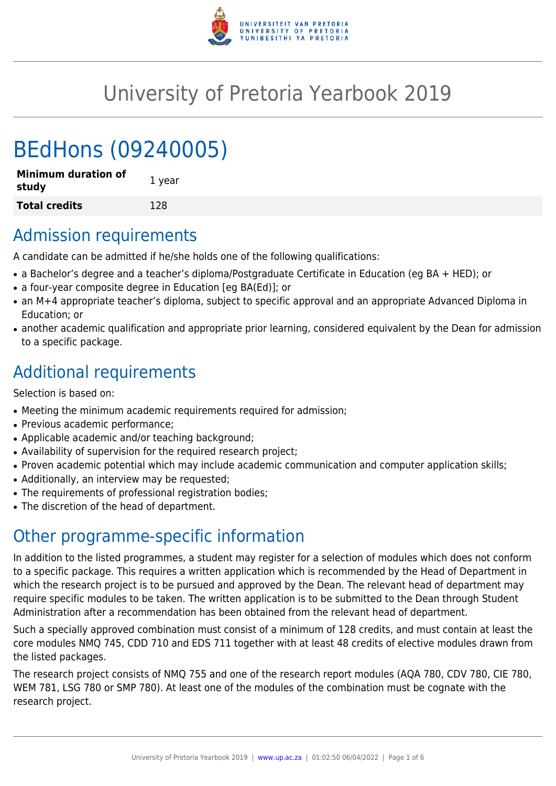

# University of Pretoria Yearbook 2019

# BEdHons (09240005)

| <b>Minimum duration of</b><br>study | 1 year |
|-------------------------------------|--------|
| <b>Total credits</b>                | 128    |

# Admission requirements

A candidate can be admitted if he/she holds one of the following qualifications:

- a Bachelor's degree and a teacher's diploma/Postgraduate Certificate in Education (eg BA + HED); or
- a four-year composite degree in Education [eg BA(Ed)]; or
- an M+4 appropriate teacher's diploma, subject to specific approval and an appropriate Advanced Diploma in Education; or
- another academic qualification and appropriate prior learning, considered equivalent by the Dean for admission to a specific package.

# Additional requirements

Selection is based on:

- Meeting the minimum academic requirements required for admission;
- Previous academic performance;
- Applicable academic and/or teaching background;
- Availability of supervision for the required research project;
- Proven academic potential which may include academic communication and computer application skills;
- Additionally, an interview may be requested;
- The requirements of professional registration bodies;
- The discretion of the head of department.

# Other programme-specific information

In addition to the listed programmes, a student may register for a selection of modules which does not conform to a specific package. This requires a written application which is recommended by the Head of Department in which the research project is to be pursued and approved by the Dean. The relevant head of department may require specific modules to be taken. The written application is to be submitted to the Dean through Student Administration after a recommendation has been obtained from the relevant head of department.

Such a specially approved combination must consist of a minimum of 128 credits, and must contain at least the core modules NMQ 745, CDD 710 and EDS 711 together with at least 48 credits of elective modules drawn from the listed packages.

The research project consists of NMQ 755 and one of the research report modules (AQA 780, CDV 780, CIE 780, WEM 781, LSG 780 or SMP 780). At least one of the modules of the combination must be cognate with the research project.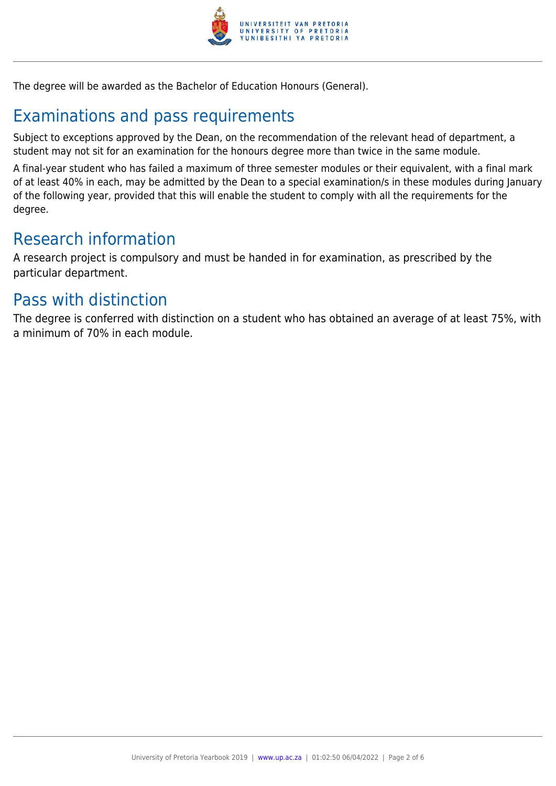

The degree will be awarded as the Bachelor of Education Honours (General).

# Examinations and pass requirements

Subject to exceptions approved by the Dean, on the recommendation of the relevant head of department, a student may not sit for an examination for the honours degree more than twice in the same module.

A final-year student who has failed a maximum of three semester modules or their equivalent, with a final mark of at least 40% in each, may be admitted by the Dean to a special examination/s in these modules during January of the following year, provided that this will enable the student to comply with all the requirements for the degree.

# Research information

A research project is compulsory and must be handed in for examination, as prescribed by the particular department.

# Pass with distinction

The degree is conferred with distinction on a student who has obtained an average of at least 75%, with a minimum of 70% in each module.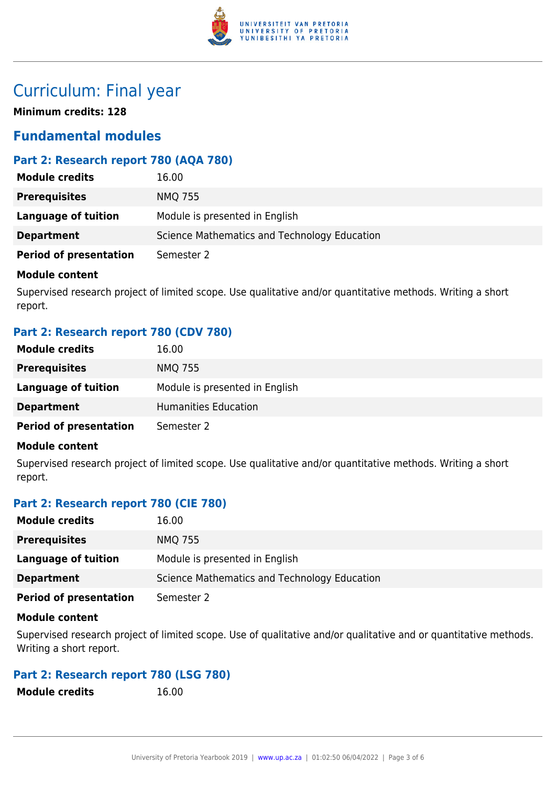

# Curriculum: Final year

**Minimum credits: 128**

## **Fundamental modules**

### **Part 2: Research report 780 (AQA 780)**

| <b>Module credits</b>         | 16.00                                        |
|-------------------------------|----------------------------------------------|
| <b>Prerequisites</b>          | <b>NMQ 755</b>                               |
| Language of tuition           | Module is presented in English               |
| <b>Department</b>             | Science Mathematics and Technology Education |
| <b>Period of presentation</b> | Semester 2                                   |

#### **Module content**

Supervised research project of limited scope. Use qualitative and/or quantitative methods. Writing a short report.

### **Part 2: Research report 780 (CDV 780)**

| <b>Module credits</b>         | 16.00                          |
|-------------------------------|--------------------------------|
| <b>Prerequisites</b>          | <b>NMQ 755</b>                 |
| <b>Language of tuition</b>    | Module is presented in English |
| <b>Department</b>             | Humanities Education           |
| <b>Period of presentation</b> | Semester 2                     |

#### **Module content**

Supervised research project of limited scope. Use qualitative and/or quantitative methods. Writing a short report.

### **Part 2: Research report 780 (CIE 780)**

| <b>Module credits</b>         | 16.00                                        |
|-------------------------------|----------------------------------------------|
| <b>Prerequisites</b>          | <b>NMQ 755</b>                               |
| Language of tuition           | Module is presented in English               |
| <b>Department</b>             | Science Mathematics and Technology Education |
| <b>Period of presentation</b> | Semester 2                                   |

#### **Module content**

Supervised research project of limited scope. Use of qualitative and/or qualitative and or quantitative methods. Writing a short report.

### **Part 2: Research report 780 (LSG 780)**

| <b>Module credits</b> | 16.00 |
|-----------------------|-------|
|-----------------------|-------|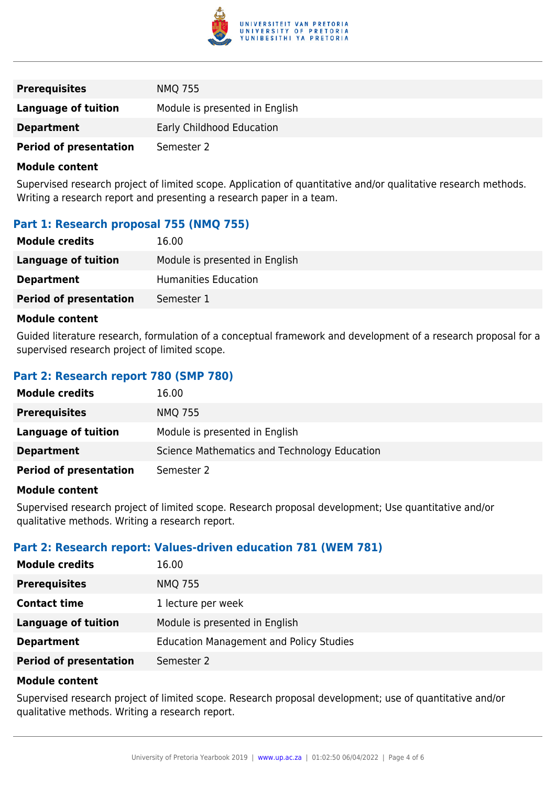

| <b>Prerequisites</b>          | <b>NMQ 755</b>                 |
|-------------------------------|--------------------------------|
| Language of tuition           | Module is presented in English |
| <b>Department</b>             | Early Childhood Education      |
| <b>Period of presentation</b> | Semester 2                     |

#### **Module content**

Supervised research project of limited scope. Application of quantitative and/or qualitative research methods. Writing a research report and presenting a research paper in a team.

### **Part 1: Research proposal 755 (NMQ 755)**

| <b>Module credits</b>         | 16.00                          |
|-------------------------------|--------------------------------|
| Language of tuition           | Module is presented in English |
| <b>Department</b>             | Humanities Education           |
| <b>Period of presentation</b> | Semester 1                     |

#### **Module content**

Guided literature research, formulation of a conceptual framework and development of a research proposal for a supervised research project of limited scope.

### **Part 2: Research report 780 (SMP 780)**

| <b>Module credits</b>         | 16.00                                        |
|-------------------------------|----------------------------------------------|
| <b>Prerequisites</b>          | <b>NMQ 755</b>                               |
| Language of tuition           | Module is presented in English               |
| <b>Department</b>             | Science Mathematics and Technology Education |
| <b>Period of presentation</b> | Semester 2                                   |

#### **Module content**

Supervised research project of limited scope. Research proposal development; Use quantitative and/or qualitative methods. Writing a research report.

#### **Part 2: Research report: Values-driven education 781 (WEM 781)**

| <b>Module credits</b>         | 16.00                                          |
|-------------------------------|------------------------------------------------|
| <b>Prerequisites</b>          | <b>NMQ 755</b>                                 |
| <b>Contact time</b>           | 1 lecture per week                             |
| <b>Language of tuition</b>    | Module is presented in English                 |
| <b>Department</b>             | <b>Education Management and Policy Studies</b> |
| <b>Period of presentation</b> | Semester 2                                     |

#### **Module content**

Supervised research project of limited scope. Research proposal development; use of quantitative and/or qualitative methods. Writing a research report.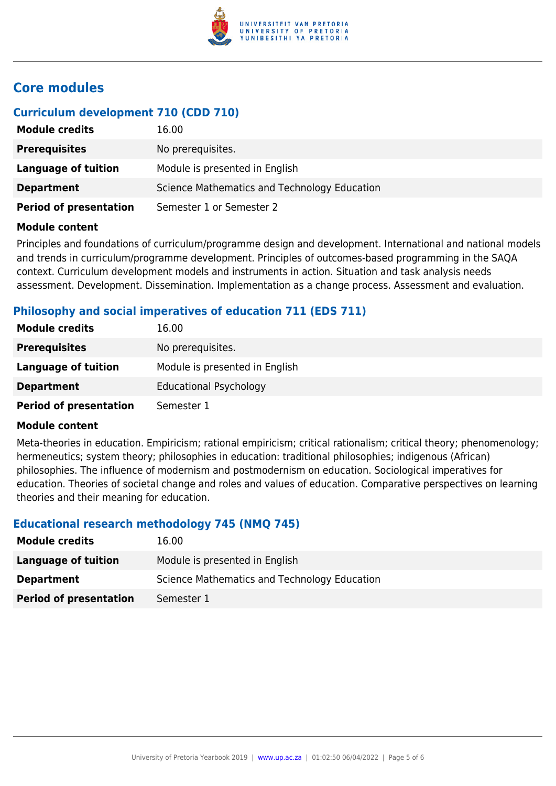

## **Core modules**

### **Curriculum development 710 (CDD 710)**

| <b>Module credits</b>         | 16.00                                        |
|-------------------------------|----------------------------------------------|
| <b>Prerequisites</b>          | No prerequisites.                            |
| Language of tuition           | Module is presented in English               |
| <b>Department</b>             | Science Mathematics and Technology Education |
| <b>Period of presentation</b> | Semester 1 or Semester 2                     |

#### **Module content**

Principles and foundations of curriculum/programme design and development. International and national models and trends in curriculum/programme development. Principles of outcomes-based programming in the SAQA context. Curriculum development models and instruments in action. Situation and task analysis needs assessment. Development. Dissemination. Implementation as a change process. Assessment and evaluation.

#### **Philosophy and social imperatives of education 711 (EDS 711)**

| <b>Module credits</b>         | 16.00                          |
|-------------------------------|--------------------------------|
| <b>Prerequisites</b>          | No prerequisites.              |
| Language of tuition           | Module is presented in English |
| <b>Department</b>             | <b>Educational Psychology</b>  |
| <b>Period of presentation</b> | Semester 1                     |

#### **Module content**

Meta-theories in education. Empiricism; rational empiricism; critical rationalism; critical theory; phenomenology; hermeneutics; system theory; philosophies in education: traditional philosophies; indigenous (African) philosophies. The influence of modernism and postmodernism on education. Sociological imperatives for education. Theories of societal change and roles and values of education. Comparative perspectives on learning theories and their meaning for education.

#### **Educational research methodology 745 (NMQ 745)**

| <b>Module credits</b>         | 16.00                                        |
|-------------------------------|----------------------------------------------|
| Language of tuition           | Module is presented in English               |
| <b>Department</b>             | Science Mathematics and Technology Education |
| <b>Period of presentation</b> | Semester 1                                   |